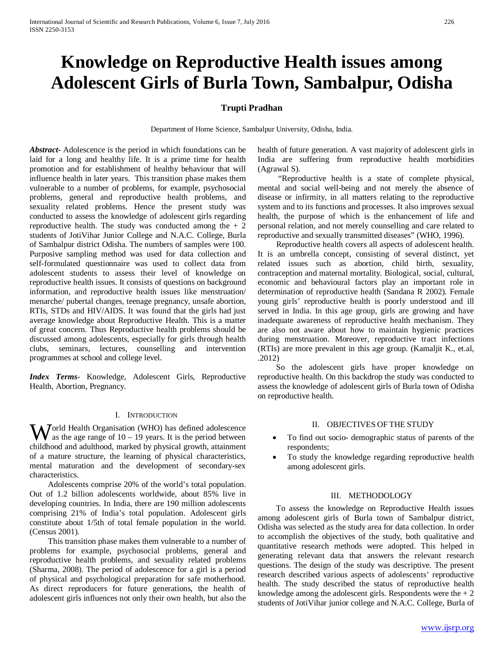# **Knowledge on Reproductive Health issues among Adolescent Girls of Burla Town, Sambalpur, Odisha**

# **Trupti Pradhan**

Department of Home Science, Sambalpur University, Odisha, India.

*Abstract***-** Adolescence is the period in which foundations can be laid for a long and healthy life. It is a prime time for health promotion and for establishment of healthy behaviour that will influence health in later years. This transition phase makes them vulnerable to a number of problems, for example, psychosocial problems, general and reproductive health problems, and sexuality related problems. Hence the present study was conducted to assess the knowledge of adolescent girls regarding reproductive health. The study was conducted among the  $+2$ students of JotiVihar Junior College and N.A.C. College, Burla of Sambalpur district Odisha. The numbers of samples were 100. Purposive sampling method was used for data collection and self-formulated questionnaire was used to collect data from adolescent students to assess their level of knowledge on reproductive health issues. It consists of questions on background information, and reproductive health issues like menstruation/ menarche/ pubertal changes, teenage pregnancy, unsafe abortion, RTIs, STDs and HIV/AIDS. It was found that the girls had just average knowledge about Reproductive Health. This is a matter of great concern. Thus Reproductive health problems should be discussed among adolescents, especially for girls through health clubs, seminars, lectures, counselling and intervention programmes at school and college level.

*Index Terms*- Knowledge, Adolescent Girls, Reproductive Health, Abortion, Pregnancy.

# I. INTRODUCTION

 $\mathbf{W}$  orld Health Organisation (WHO) has defined adolescence as the age range of  $10 - 19$  years. It is the period between as the age range of  $10 - 19$  years. It is the period between childhood and adulthood, marked by physical growth, attainment of a mature structure, the learning of physical characteristics, mental maturation and the development of secondary-sex characteristics.

 Adolescents comprise 20% of the world's total population. Out of 1.2 billion adolescents worldwide, about 85% live in developing countries. In India, there are 190 million adolescents comprising 21% of India's total population. Adolescent girls constitute about 1/5th of total female population in the world. (Census 2001).

 This transition phase makes them vulnerable to a number of problems for example, psychosocial problems, general and reproductive health problems, and sexuality related problems (Sharma, 2008). The period of adolescence for a girl is a period of physical and psychological preparation for safe motherhood. As direct reproducers for future generations, the health of adolescent girls influences not only their own health, but also the health of future generation. A vast majority of adolescent girls in India are suffering from reproductive health morbidities (Agrawal S).

 "Reproductive health is a state of complete physical, mental and social well-being and not merely the absence of disease or infirmity, in all matters relating to the reproductive system and to its functions and processes. It also improves sexual health, the purpose of which is the enhancement of life and personal relation, and not merely counselling and care related to reproductive and sexually transmitted diseases" (WHO, 1996).

 Reproductive health covers all aspects of adolescent health. It is an umbrella concept, consisting of several distinct, yet related issues such as abortion, child birth, sexuality, contraception and maternal mortality. Biological, social, cultural, economic and behavioural factors play an important role in determination of reproductive health (Sandana R 2002). Female young girls' reproductive health is poorly understood and ill served in India. In this age group, girls are growing and have inadequate awareness of reproductive health mechanism. They are also not aware about how to maintain hygienic practices during menstruation. Moreover, reproductive tract infections (RTIs) are more prevalent in this age group. (Kamaljit K., et.al, .2012)

 So the adolescent girls have proper knowledge on reproductive health. On this backdrop the study was conducted to assess the knowledge of adolescent girls of Burla town of Odisha on reproductive health.

# II. OBJECTIVES OF THE STUDY

- To find out socio- demographic status of parents of the respondents;
- To study the knowledge regarding reproductive health among adolescent girls.

## III. METHODOLOGY

 To assess the knowledge on Reproductive Health issues among adolescent girls of Burla town of Sambalpur district, Odisha was selected as the study area for data collection. In order to accomplish the objectives of the study, both qualitative and quantitative research methods were adopted. This helped in generating relevant data that answers the relevant research questions. The design of the study was descriptive. The present research described various aspects of adolescents' reproductive health. The study described the status of reproductive health knowledge among the adolescent girls. Respondents were the  $+2$ students of JotiVihar junior college and N.A.C. College, Burla of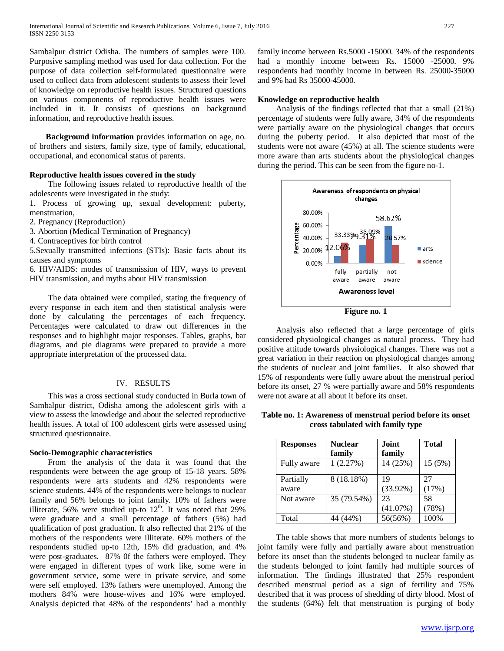Sambalpur district Odisha. The numbers of samples were 100. Purposive sampling method was used for data collection. For the purpose of data collection self-formulated questionnaire were used to collect data from adolescent students to assess their level of knowledge on reproductive health issues. Structured questions on various components of reproductive health issues were included in it. It consists of questions on background information, and reproductive health issues.

 **Background information** provides information on age, no. of brothers and sisters, family size, type of family, educational, occupational, and economical status of parents.

#### **Reproductive health issues covered in the study**

 The following issues related to reproductive health of the adolescents were investigated in the study:

1. Process of growing up, sexual development: puberty, menstruation,

2. Pregnancy (Reproduction)

3. Abortion (Medical Termination of Pregnancy)

4. Contraceptives for birth control

5.Sexually transmitted infections (STIs): Basic facts about its causes and symptoms

6. HIV/AIDS: modes of transmission of HIV, ways to prevent HIV transmission, and myths about HIV transmission

 The data obtained were compiled, stating the frequency of every response in each item and then statistical analysis were done by calculating the percentages of each frequency. Percentages were calculated to draw out differences in the responses and to highlight major responses. Tables, graphs, bar diagrams, and pie diagrams were prepared to provide a more appropriate interpretation of the processed data.

# IV. RESULTS

 This was a cross sectional study conducted in Burla town of Sambalpur district, Odisha among the adolescent girls with a view to assess the knowledge and about the selected reproductive health issues. A total of 100 adolescent girls were assessed using structured questionnaire.

## **Socio-Demographic characteristics**

 From the analysis of the data it was found that the respondents were between the age group of 15-18 years. 58% respondents were arts students and 42% respondents were science students. 44% of the respondents were belongs to nuclear family and 56% belongs to joint family. 10% of fathers were illiterate, 56% were studied up-to  $12<sup>th</sup>$ . It was noted that 29% were graduate and a small percentage of fathers (5%) had qualification of post graduation. It also reflected that 21% of the mothers of the respondents were illiterate. 60% mothers of the respondents studied up-to 12th, 15% did graduation, and 4% were post-graduates. 87% 0f the fathers were employed. They were engaged in different types of work like, some were in government service, some were in private service, and some were self employed. 13% fathers were unemployed. Among the mothers 84% were house-wives and 16% were employed. Analysis depicted that 48% of the respondents' had a monthly family income between Rs.5000 -15000. 34% of the respondents had a monthly income between Rs. 15000 -25000. 9% respondents had monthly income in between Rs. 25000-35000 and 9% had Rs 35000-45000.

## **Knowledge on reproductive health**

 Analysis of the findings reflected that that a small (21%) percentage of students were fully aware, 34% of the respondents were partially aware on the physiological changes that occurs during the puberty period. It also depicted that most of the students were not aware (45%) at all. The science students were more aware than arts students about the physiological changes during the period. This can be seen from the figure no-1.



**Figure no. 1**

 Analysis also reflected that a large percentage of girls considered physiological changes as natural process. They had positive attitude towards physiological changes. There was not a great variation in their reaction on physiological changes among the students of nuclear and joint families. It also showed that 15% of respondents were fully aware about the menstrual period before its onset, 27 % were partially aware and 58% respondents were not aware at all about it before its onset.

**Table no. 1: Awareness of menstrual period before its onset cross tabulated with family type**

| <b>Responses</b> | <b>Nuclear</b><br>family | <b>Joint</b><br>family | <b>Total</b> |
|------------------|--------------------------|------------------------|--------------|
| Fully aware      | 1(2.27%)                 | 14 (25%)               | 15(5%)       |
| Partially        | 8 (18.18%)               | 19                     | 27           |
| aware            |                          | $(33.92\%)$            | (17%)        |
| Not aware        | 35 (79.54%)              | 23                     | 58           |
|                  |                          | $(41.07\%)$            | (78%)        |
| Total            | 44 (44%)                 | 56(56%)                | 100%         |

 The table shows that more numbers of students belongs to joint family were fully and partially aware about menstruation before its onset than the students belonged to nuclear family as the students belonged to joint family had multiple sources of information. The findings illustrated that 25% respondent described menstrual period as a sign of fertility and 75% described that it was process of shedding of dirty blood. Most of the students (64%) felt that menstruation is purging of body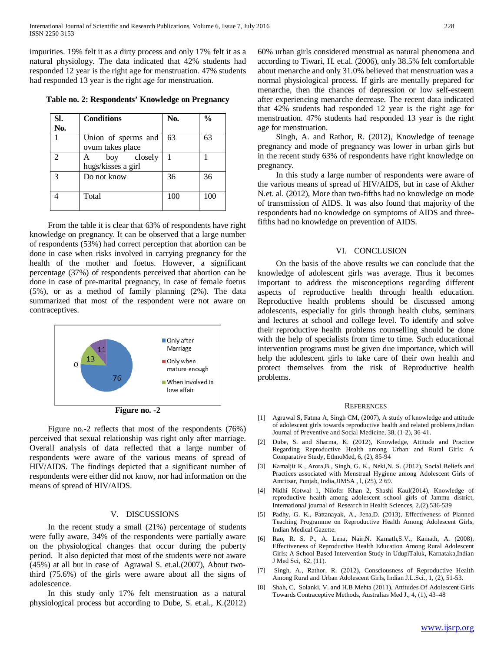impurities. 19% felt it as a dirty process and only 17% felt it as a natural physiology. The data indicated that 42% students had responded 12 year is the right age for menstruation. 47% students had responded 13 year is the right age for menstruation.

**Table no. 2: Respondents' Knowledge on Pregnancy**

| SI.<br>No.                  | <b>Conditions</b>                       | No. | $\frac{0}{0}$ |
|-----------------------------|-----------------------------------------|-----|---------------|
|                             | Union of sperms and<br>ovum takes place | 63  | 63            |
| $\mathcal{D}_{\mathcal{A}}$ | boy closely<br>A<br>hugs/kisses a girl  |     |               |
|                             | Do not know                             | 36  | 36            |
|                             | Total                                   | 100 | 100           |

 From the table it is clear that 63% of respondents have right knowledge on pregnancy. It can be observed that a large number of respondents (53%) had correct perception that abortion can be done in case when risks involved in carrying pregnancy for the health of the mother and foetus. However, a significant percentage (37%) of respondents perceived that abortion can be done in case of pre-marital pregnancy, in case of female foetus (5%), or as a method of family planning (2%). The data summarized that most of the respondent were not aware on contraceptives.



**Figure no. -2**

 Figure no.-2 reflects that most of the respondents (76%) perceived that sexual relationship was right only after marriage. Overall analysis of data reflected that a large number of respondents were aware of the various means of spread of HIV/AIDS. The findings depicted that a significant number of respondents were either did not know, nor had information on the means of spread of HIV/AIDS.

# V. DISCUSSIONS

 In the recent study a small (21%) percentage of students were fully aware, 34% of the respondents were partially aware on the physiological changes that occur during the puberty period. It also depicted that most of the students were not aware (45%) at all but in case of Agrawal S. et.al.(2007), About twothird (75.6%) of the girls were aware about all the signs of adolescence.

 In this study only 17% felt menstruation as a natural physiological process but according to Dube, S. et.al., K.(2012)

60% urban girls considered menstrual as natural phenomena and according to Tiwari, H. et.al. (2006), only 38.5% felt comfortable about menarche and only 31.0% believed that menstruation was a normal physiological process. If girls are mentally prepared for menarche, then the chances of depression or low self-esteem after experiencing menarche decrease. The recent data indicated that 42% students had responded 12 year is the right age for menstruation. 47% students had responded 13 year is the right age for menstruation.

 Singh, A. and Rathor, R. (2012), Knowledge of teenage pregnancy and mode of pregnancy was lower in urban girls but in the recent study 63% of respondents have right knowledge on pregnancy.

 In this study a large number of respondents were aware of the various means of spread of HIV/AIDS, but in case of Akther N.et. al. (2012), More than two-fifths had no knowledge on mode of transmission of AIDS. It was also found that majority of the respondents had no knowledge on symptoms of AIDS and threefifths had no knowledge on prevention of AIDS.

#### VI. CONCLUSION

 On the basis of the above results we can conclude that the knowledge of adolescent girls was average. Thus it becomes important to address the misconceptions regarding different aspects of reproductive health through health education. Reproductive health problems should be discussed among adolescents, especially for girls through health clubs, seminars and lectures at school and college level. To identify and solve their reproductive health problems counselling should be done with the help of specialists from time to time. Such educational intervention programs must be given due importance, which will help the adolescent girls to take care of their own health and protect themselves from the risk of Reproductive health problems.

#### **REFERENCES**

- [1] Agrawal S, Fatma A, Singh CM, (2007), A study of knowledge and attitude of adolescent girls towards reproductive health and related problems,Indian Journal of Preventive and Social Medicine, 38, (1-2), 36-41.
- [2] Dube, S. and Sharma, K. (2012), Knowledge, Attitude and Practice Regarding Reproductive Health among Urban and Rural Girls: A Comparative Study, EthnoMed, 6, (2), 85-94
- [3] Kamaljit K., Arora,B., Singh, G. K., Neki,N. S. (2012), Social Beliefs and Practices associated with Menstrual Hygiene among Adolescent Girls of Amritsar, Punjab, India,JIMSA , l, (25), 2 69.
- [4] Nidhi Kotwal 1, Nilofer Khan 2, Shashi Kaul(2014), Knowledge of reproductive health among adolescent school girls of Jammu district, InternationaJ journal of Research in Health Sciences, 2,(2),536-539
- [5] Padhy, G. K., Pattanayak, A., Jena,D. (2013), Effectiveness of Planned Teaching Programme on Reproductive Health Among Adolescent Girls, Indian Medical Gazette.
- [6] Rao, R. S. P., A. Lena, Nair,N. Kamath,S.V., Kamath, A. (2008), Effectiveness of Reproductive Health Education Among Rural Adolescent Girls: A School Based Intervention Study in UdupiTaluk, Karnataka,Indian J Med Sci, 62, (11).
- [7] Singh, A., Rathor, R. (2012), Consciousness of Reproductive Health Among Rural and Urban Adolescent Girls, Indian J.L.Sci., 1, (2), 51-53.
- [8] Shah, C, Solanki, V. and H.B Mehta (2011), Attitudes Of Adolescent Girls Towards Contraceptive Methods, Australias Med J., 4, (1), 43–48